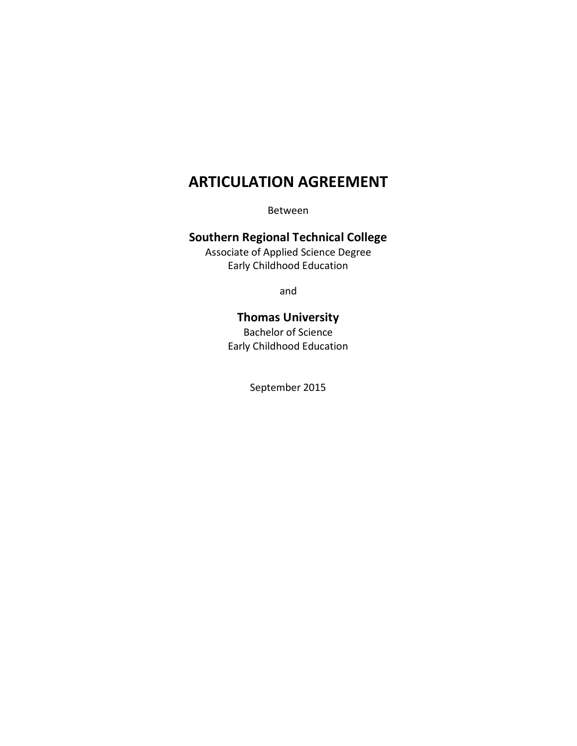# **ARTICULATION AGREEMENT**

Between

## **Southern Regional Technical College**

Associate of Applied Science Degree Early Childhood Education

and

## **Thomas University**

Bachelor of Science Early Childhood Education

September 2015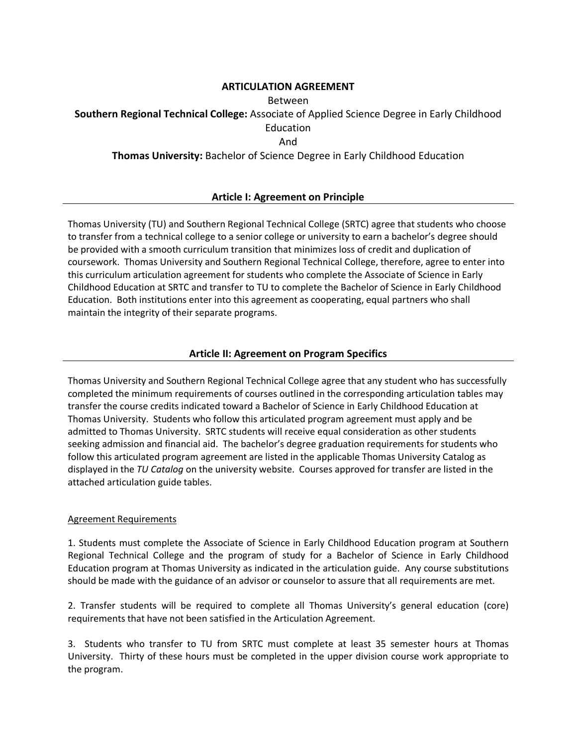## **ARTICULATION AGREEMENT**

### Between

**Southern Regional Technical College:** Associate of Applied Science Degree in Early Childhood

Education

And

**Thomas University:** Bachelor of Science Degree in Early Childhood Education

## **Article I: Agreement on Principle**

Thomas University (TU) and Southern Regional Technical College (SRTC) agree that students who choose to transfer from a technical college to a senior college or university to earn a bachelor's degree should be provided with a smooth curriculum transition that minimizes loss of credit and duplication of coursework. Thomas University and Southern Regional Technical College, therefore, agree to enter into this curriculum articulation agreement for students who complete the Associate of Science in Early Childhood Education at SRTC and transfer to TU to complete the Bachelor of Science in Early Childhood Education. Both institutions enter into this agreement as cooperating, equal partners who shall maintain the integrity of their separate programs.

## **Article II: Agreement on Program Specifics**

Thomas University and Southern Regional Technical College agree that any student who has successfully completed the minimum requirements of courses outlined in the corresponding articulation tables may transfer the course credits indicated toward a Bachelor of Science in Early Childhood Education at Thomas University. Students who follow this articulated program agreement must apply and be admitted to Thomas University. SRTC students will receive equal consideration as other students seeking admission and financial aid. The bachelor's degree graduation requirements for students who follow this articulated program agreement are listed in the applicable Thomas University Catalog as displayed in the *TU Catalog* on the university website. Courses approved for transfer are listed in the attached articulation guide tables.

## Agreement Requirements

1. Students must complete the Associate of Science in Early Childhood Education program at Southern Regional Technical College and the program of study for a Bachelor of Science in Early Childhood Education program at Thomas University as indicated in the articulation guide. Any course substitutions should be made with the guidance of an advisor or counselor to assure that all requirements are met.

2. Transfer students will be required to complete all Thomas University's general education (core) requirements that have not been satisfied in the Articulation Agreement.

3. Students who transfer to TU from SRTC must complete at least 35 semester hours at Thomas University. Thirty of these hours must be completed in the upper division course work appropriate to the program.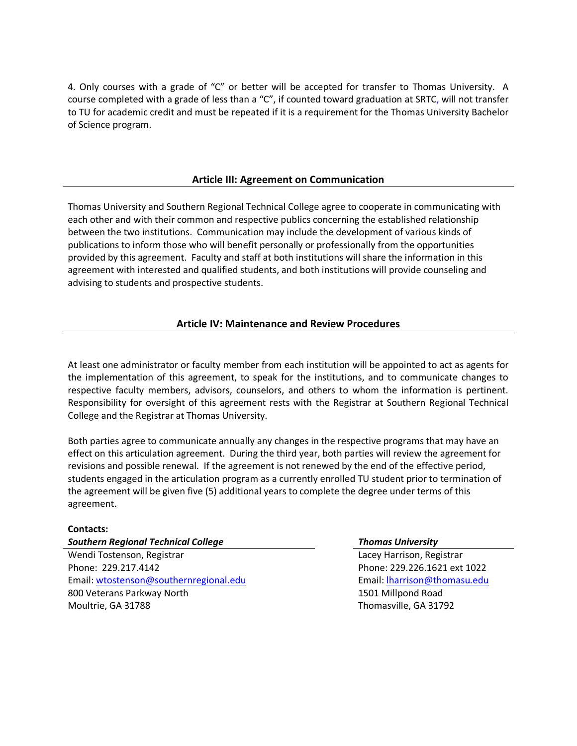4. Only courses with a grade of "C" or better will be accepted for transfer to Thomas University. A course completed with a grade of less than a "C", if counted toward graduation at SRTC, will not transfer to TU for academic credit and must be repeated if it is a requirement for the Thomas University Bachelor of Science program.

## **Article III: Agreement on Communication**

Thomas University and Southern Regional Technical College agree to cooperate in communicating with each other and with their common and respective publics concerning the established relationship between the two institutions. Communication may include the development of various kinds of publications to inform those who will benefit personally or professionally from the opportunities provided by this agreement. Faculty and staff at both institutions will share the information in this agreement with interested and qualified students, and both institutions will provide counseling and advising to students and prospective students.

## **Article IV: Maintenance and Review Procedures**

At least one administrator or faculty member from each institution will be appointed to act as agents for the implementation of this agreement, to speak for the institutions, and to communicate changes to respective faculty members, advisors, counselors, and others to whom the information is pertinent. Responsibility for oversight of this agreement rests with the Registrar at Southern Regional Technical College and the Registrar at Thomas University.

Both parties agree to communicate annually any changes in the respective programs that may have an effect on this articulation agreement. During the third year, both parties will review the agreement for revisions and possible renewal. If the agreement is not renewed by the end of the effective period, students engaged in the articulation program as a currently enrolled TU student prior to termination of the agreement will be given five (5) additional years to complete the degree under terms of this agreement.

## **Contacts:**

## *Southern Regional Technical College Thomas University*

Wendi Tostenson, Registrar Phone: 229.217.4142 Email: wtostenson@southernregional.edu 800 Veterans Parkway North Moultrie, GA 31788

Lacey Harrison, Registrar Phone: 229.226.1621 ext 1022 Email: [lharrison@thomasu.edu](mailto:lharrison@thomasu.edu) 1501 Millpond Road Thomasville, GA 31792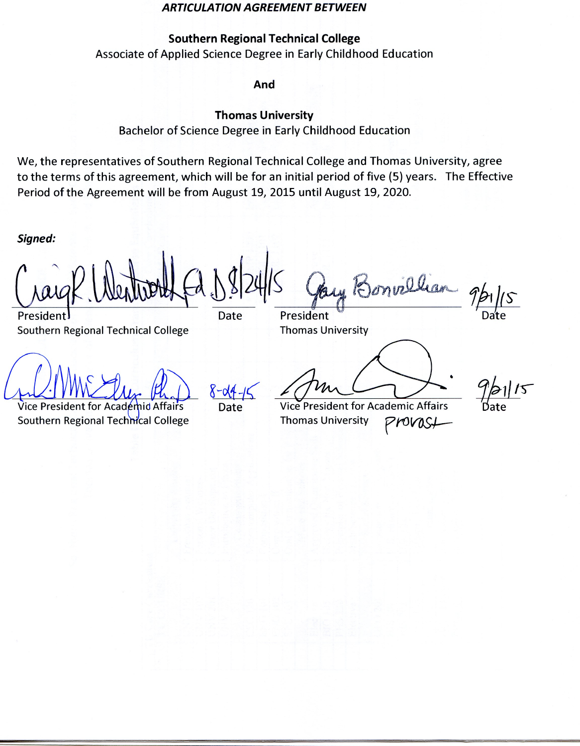### **ARTICULATION AGREEMENT BETWEEN**

## **Southern Regional Technical College**

Associate of Applied Science Degree in Early Childhood Education

And

## **Thomas University**

### Bachelor of Science Degree in Early Childhood Education

We, the representatives of Southern Regional Technical College and Thomas University, agree to the terms of this agreement, which will be for an initial period of five (5) years. The Effective Period of the Agreement will be from August 19, 2015 until August 19, 2020.

Signed:

President **Southern Regional Technical College** 

Date

President **Thomas University** 

Vice President for Academid Affairs Southern Regional Technical College

Date

northan

**Vice President for Academic Affairs Thomas University** Provast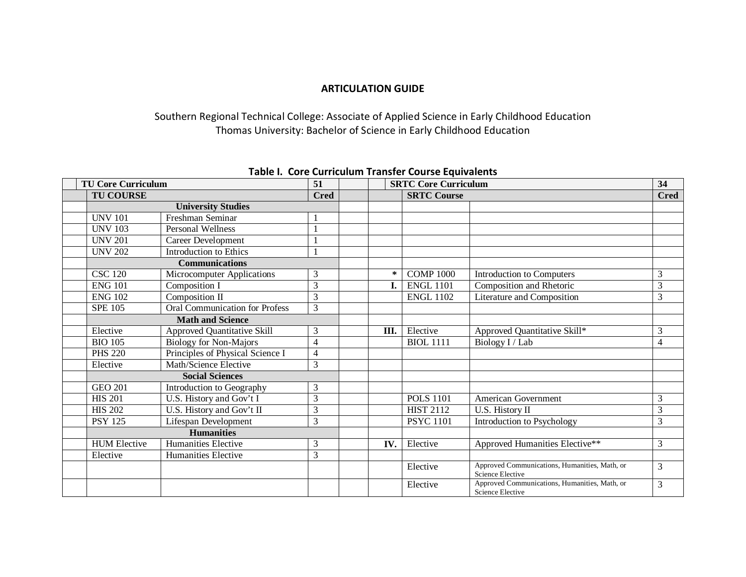## **ARTICULATION GUIDE**

Southern Regional Technical College: Associate of Applied Science in Early Childhood Education Thomas University: Bachelor of Science in Early Childhood Education

| <b>TU Core Curriculum</b> |                     | 51                                    |                |  | <b>SRTC Core Curriculum</b> |                  | 34                                                                |                |
|---------------------------|---------------------|---------------------------------------|----------------|--|-----------------------------|------------------|-------------------------------------------------------------------|----------------|
|                           | <b>TU COURSE</b>    |                                       | <b>Cred</b>    |  | <b>SRTC Course</b>          |                  |                                                                   | <b>Cred</b>    |
|                           |                     | <b>University Studies</b>             |                |  |                             |                  |                                                                   |                |
|                           | <b>UNV 101</b>      | Freshman Seminar                      |                |  |                             |                  |                                                                   |                |
|                           | <b>UNV 103</b>      | <b>Personal Wellness</b>              |                |  |                             |                  |                                                                   |                |
|                           | <b>UNV 201</b>      | Career Development                    |                |  |                             |                  |                                                                   |                |
|                           | <b>UNV 202</b>      | <b>Introduction to Ethics</b>         |                |  |                             |                  |                                                                   |                |
|                           |                     | <b>Communications</b>                 |                |  |                             |                  |                                                                   |                |
|                           | <b>CSC 120</b>      | Microcomputer Applications            | 3              |  | ∗                           | <b>COMP 1000</b> | Introduction to Computers                                         | 3              |
|                           | <b>ENG 101</b>      | Composition I                         | 3              |  | $\mathbf{I}$ .              | <b>ENGL 1101</b> | Composition and Rhetoric                                          | 3              |
|                           | <b>ENG 102</b>      | Composition II                        | 3              |  |                             | <b>ENGL 1102</b> | Literature and Composition                                        | 3              |
|                           | <b>SPE 105</b>      | <b>Oral Communication for Profess</b> | $\overline{3}$ |  |                             |                  |                                                                   |                |
|                           |                     | <b>Math and Science</b>               |                |  |                             |                  |                                                                   |                |
|                           | Elective            | <b>Approved Quantitative Skill</b>    | 3              |  | Ш.                          | Elective         | Approved Quantitative Skill*                                      | 3              |
|                           | <b>BIO 105</b>      | <b>Biology for Non-Majors</b>         | 4              |  |                             | <b>BIOL 1111</b> | Biology I / Lab                                                   | $\overline{4}$ |
|                           | <b>PHS 220</b>      | Principles of Physical Science I      | 4              |  |                             |                  |                                                                   |                |
|                           | Elective            | Math/Science Elective                 | 3              |  |                             |                  |                                                                   |                |
|                           |                     | <b>Social Sciences</b>                |                |  |                             |                  |                                                                   |                |
|                           | <b>GEO 201</b>      | Introduction to Geography             | 3              |  |                             |                  |                                                                   |                |
|                           | <b>HIS 201</b>      | U.S. History and Gov't I              | 3              |  |                             | <b>POLS 1101</b> | American Government                                               | 3              |
|                           | <b>HIS 202</b>      | U.S. History and Gov't II             | 3              |  |                             | <b>HIST 2112</b> | U.S. History II                                                   | 3              |
|                           | <b>PSY 125</b>      | Lifespan Development                  | 3              |  |                             | <b>PSYC 1101</b> | Introduction to Psychology                                        | 3              |
|                           |                     | <b>Humanities</b>                     |                |  |                             |                  |                                                                   |                |
|                           | <b>HUM Elective</b> | Humanities Elective                   | 3              |  | IV.                         | Elective         | Approved Humanities Elective**                                    | 3              |
|                           | Elective            | <b>Humanities Elective</b>            | 3              |  |                             |                  |                                                                   |                |
|                           |                     |                                       |                |  |                             | Elective         | Approved Communications, Humanities, Math, or<br>Science Elective | 3              |
|                           |                     |                                       |                |  |                             | Elective         | Approved Communications, Humanities, Math, or<br>Science Elective | 3              |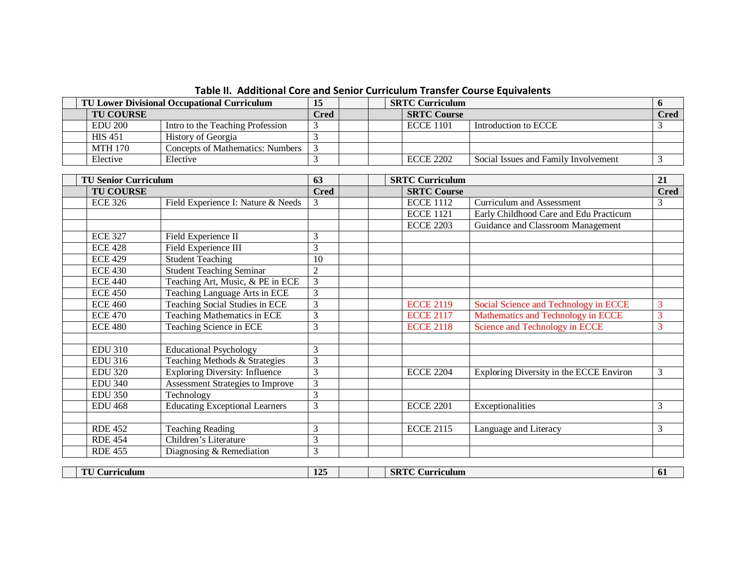| <b>TU Lower Divisional Occupational Curriculum</b> |                                  |             | <b>SRTC Curriculum</b> |                    |                                      |             |
|----------------------------------------------------|----------------------------------|-------------|------------------------|--------------------|--------------------------------------|-------------|
| <b>TU COURSE</b>                                   |                                  | <b>Pred</b> |                        | <b>SRTC Course</b> |                                      | <b>Cred</b> |
| EDU 200                                            | Intro to the Teaching Profession |             |                        | <b>ECCE 1101</b>   | Introduction to ECCE                 |             |
| <b>HIS 451</b>                                     | History of Georgia               |             |                        |                    |                                      |             |
| MTH 170                                            | Concepts of Mathematics: Numbers |             |                        |                    |                                      |             |
| Elective                                           | Elective                         |             |                        | <b>ECCE 2202</b>   | Social Issues and Family Involvement |             |

**Table II. Additional Core and Senior Curriculum Transfer Course Equivalents**

| <b>TU Senior Curriculum</b> |                                         | 63             |                    | <b>SRTC Curriculum</b> |                                         | 21          |
|-----------------------------|-----------------------------------------|----------------|--------------------|------------------------|-----------------------------------------|-------------|
| <b>TU COURSE</b>            |                                         |                | <b>SRTC Course</b> |                        |                                         | <b>Cred</b> |
| <b>ECE 326</b>              | Field Experience I: Nature & Needs      | 3              |                    | <b>ECCE 1112</b>       | <b>Curriculum and Assessment</b>        | 3           |
|                             |                                         |                |                    | <b>ECCE 1121</b>       | Early Childhood Care and Edu Practicum  |             |
|                             |                                         |                |                    | <b>ECCE 2203</b>       | Guidance and Classroom Management       |             |
| <b>ECE 327</b>              | Field Experience II                     | 3              |                    |                        |                                         |             |
| <b>ECE 428</b>              | Field Experience III                    | 3              |                    |                        |                                         |             |
| <b>ECE 429</b>              | <b>Student Teaching</b>                 | 10             |                    |                        |                                         |             |
| <b>ECE 430</b>              | <b>Student Teaching Seminar</b>         | $\overline{2}$ |                    |                        |                                         |             |
| <b>ECE 440</b>              | Teaching Art, Music, & PE in ECE        | $\overline{3}$ |                    |                        |                                         |             |
| <b>ECE 450</b>              | Teaching Language Arts in ECE           | 3              |                    |                        |                                         |             |
| <b>ECE 460</b>              | <b>Teaching Social Studies in ECE</b>   | 3              |                    | <b>ECCE 2119</b>       | Social Science and Technology in ECCE   | 3           |
| <b>ECE 470</b>              | <b>Teaching Mathematics in ECE</b>      | 3              |                    | <b>ECCE 2117</b>       | Mathematics and Technology in ECCE      | 3           |
| <b>ECE 480</b>              | <b>Teaching Science in ECE</b>          | 3              |                    | <b>ECCE 2118</b>       | <b>Science and Technology in ECCE</b>   | 3           |
|                             |                                         |                |                    |                        |                                         |             |
| <b>EDU 310</b>              | <b>Educational Psychology</b>           | 3              |                    |                        |                                         |             |
| <b>EDU 316</b>              | Teaching Methods & Strategies           | $\overline{3}$ |                    |                        |                                         |             |
| <b>EDU 320</b>              | <b>Exploring Diversity: Influence</b>   | $\overline{3}$ |                    | <b>ECCE 2204</b>       | Exploring Diversity in the ECCE Environ | 3           |
| <b>EDU 340</b>              | <b>Assessment Strategies to Improve</b> | 3              |                    |                        |                                         |             |
| <b>EDU 350</b>              | Technology                              | 3              |                    |                        |                                         |             |
| <b>EDU 468</b>              | <b>Educating Exceptional Learners</b>   | 3              |                    | <b>ECCE 2201</b>       | Exceptionalities                        | 3           |
|                             |                                         |                |                    |                        |                                         |             |
| <b>RDE 452</b>              | <b>Teaching Reading</b>                 | 3              |                    | <b>ECCE 2115</b>       | Language and Literacy                   | 3           |
| <b>RDE 454</b>              | Children's Literature                   | 3              |                    |                        |                                         |             |
| <b>RDE 455</b>              | Diagnosing & Remediation                | 3              |                    |                        |                                         |             |
|                             |                                         |                |                    |                        |                                         |             |
| <b>TU Curriculum</b>        |                                         | 125            |                    | <b>SRTC Curriculum</b> |                                         | 61          |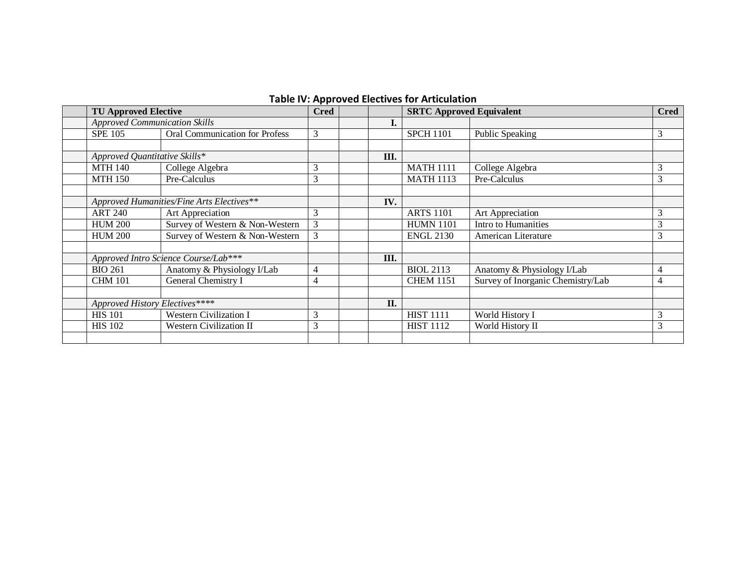| <b>Table IV: Approved Electives for Articulation</b> |  |  |
|------------------------------------------------------|--|--|
|------------------------------------------------------|--|--|

| <b>TU Approved Elective</b>          |                                           | . .<br><b>Cred</b> |      | <b>SRTC Approved Equivalent</b> |                                   | <b>Cred</b> |  |
|--------------------------------------|-------------------------------------------|--------------------|------|---------------------------------|-----------------------------------|-------------|--|
| <b>Approved Communication Skills</b> |                                           |                    | ı.   |                                 |                                   |             |  |
| <b>SPE 105</b>                       | <b>Oral Communication for Profess</b>     | 3                  |      | <b>SPCH 1101</b>                | Public Speaking                   | 3           |  |
|                                      |                                           |                    |      |                                 |                                   |             |  |
| Approved Quantitative Skills*        |                                           |                    | Ш.   |                                 |                                   |             |  |
| <b>MTH 140</b>                       | College Algebra                           | 3                  |      | <b>MATH 1111</b>                | College Algebra                   | 3           |  |
| <b>MTH 150</b>                       | Pre-Calculus                              | 3                  |      | <b>MATH 1113</b>                | Pre-Calculus                      | 3           |  |
|                                      |                                           |                    |      |                                 |                                   |             |  |
|                                      | Approved Humanities/Fine Arts Electives** |                    | IV.  |                                 |                                   |             |  |
| <b>ART 240</b>                       | Art Appreciation                          | 3                  |      | <b>ARTS 1101</b>                | Art Appreciation                  | 3           |  |
| <b>HUM 200</b>                       | Survey of Western & Non-Western           | 3                  |      | <b>HUMN 1101</b>                | Intro to Humanities               | 3           |  |
| <b>HUM 200</b>                       | Survey of Western & Non-Western           | 3                  |      | <b>ENGL 2130</b>                | American Literature               | 3           |  |
|                                      |                                           |                    |      |                                 |                                   |             |  |
|                                      | Approved Intro Science Course/Lab***      |                    | III. |                                 |                                   |             |  |
| <b>BIO 261</b>                       | Anatomy & Physiology I/Lab                | $\overline{4}$     |      | <b>BIOL 2113</b>                | Anatomy & Physiology I/Lab        | 4           |  |
| <b>CHM 101</b>                       | General Chemistry I                       | 4                  |      | <b>CHEM 1151</b>                | Survey of Inorganic Chemistry/Lab | 4           |  |
|                                      |                                           |                    |      |                                 |                                   |             |  |
| Approved History Electives****       |                                           |                    | II.  |                                 |                                   |             |  |
| <b>HIS 101</b>                       | <b>Western Civilization I</b>             | 3                  |      | <b>HIST 1111</b>                | World History I                   | 3           |  |
| <b>HIS 102</b>                       | Western Civilization II                   | 3                  |      | <b>HIST 1112</b>                | World History II                  | 3           |  |
|                                      |                                           |                    |      |                                 |                                   |             |  |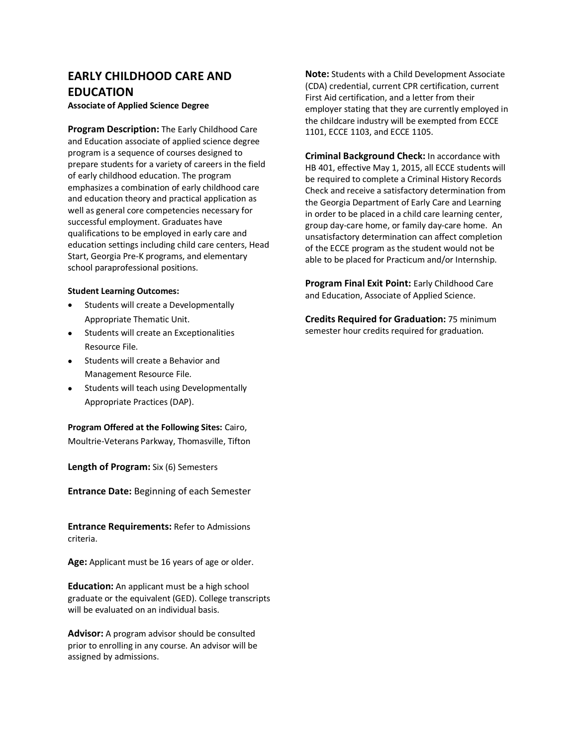## **EARLY CHILDHOOD CARE AND EDUCATION**

**Associate of Applied Science Degree**

**Program Description:** The Early Childhood Care and Education associate of applied science degree program is a sequence of courses designed to prepare students for a variety of careers in the field of early childhood education. The program emphasizes a combination of early childhood care and education theory and practical application as well as general core competencies necessary for successful employment. Graduates have qualifications to be employed in early care and education settings including child care centers, Head Start, Georgia Pre-K programs, and elementary school paraprofessional positions.

### **Student Learning Outcomes:**

- Students will create a Developmentally Appropriate Thematic Unit.
- Students will create an Exceptionalities Resource File.
- Students will create a Behavior and Management Resource File.
- Students will teach using Developmentally Appropriate Practices (DAP).

# **Program Offered at the Following Sites:** Cairo,

Moultrie-Veterans Parkway, Thomasville, Tifton

**Length of Program:** Six (6) Semesters

**Entrance Date:** Beginning of each Semester

**Entrance Requirements:** Refer to Admissions criteria.

**Age:** Applicant must be 16 years of age or older.

**Education:** An applicant must be a high school graduate or the equivalent (GED). College transcripts will be evaluated on an individual basis.

**Advisor:** A program advisor should be consulted prior to enrolling in any course. An advisor will be assigned by admissions.

**Note:** Students with a Child Development Associate (CDA) credential, current CPR certification, current First Aid certification, and a letter from their employer stating that they are currently employed in the childcare industry will be exempted from ECCE 1101, ECCE 1103, and ECCE 1105.

**Criminal Background Check:** In accordance with HB 401, effective May 1, 2015, all ECCE students will be required to complete a Criminal History Records Check and receive a satisfactory determination from the Georgia Department of Early Care and Learning in order to be placed in a child care learning center, group day-care home, or family day-care home. An unsatisfactory determination can affect completion of the ECCE program as the student would not be able to be placed for Practicum and/or Internship.

**Program Final Exit Point:** Early Childhood Care and Education, Associate of Applied Science.

**Credits Required for Graduation:** 75 minimum semester hour credits required for graduation.